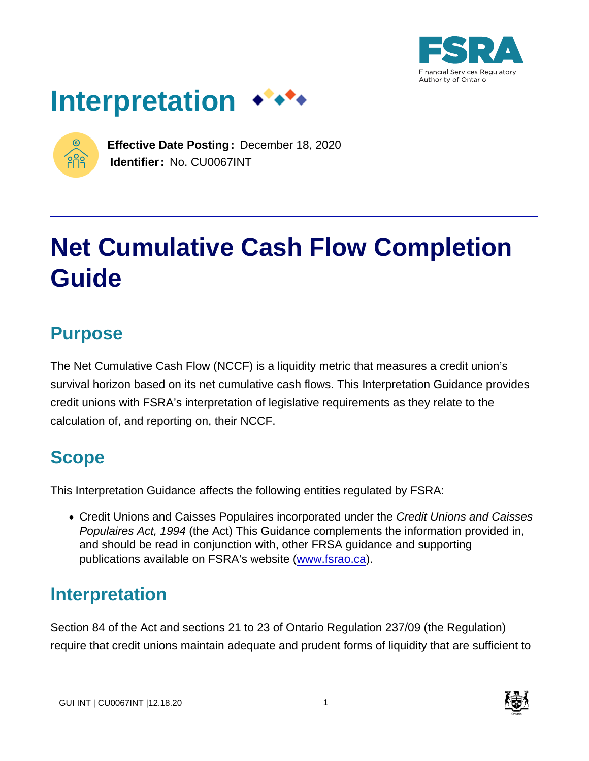





**Effective Date Posting:** December 18, 2020 **Identifier:** No. CU0067INT

# **Net Cumulative Cash Flow Completion Guide**

# **Purpose**

The Net Cumulative Cash Flow (NCCF) is a liquidity metric that measures a credit union's survival horizon based on its net cumulative cash flows. This Interpretation Guidance provides credit unions with FSRA's interpretation of legislative requirements as they relate to the calculation of, and reporting on, their NCCF.

# **Scope**

This Interpretation Guidance affects the following entities regulated by FSRA:

• Credit Unions and Caisses Populaires incorporated under the Credit Unions and Caisses Populaires Act, 1994 (the Act) This Guidance complements the information provided in, and should be read in conjunction with, other FRSA guidance and supporting publications available on FSRA's website ([www.fsrao.ca\)](http://www.fsrao.ca).

# **Interpretation**

Section 84 of the Act and sections 21 to 23 of Ontario Regulation 237/09 (the Regulation) require that credit unions maintain adequate and prudent forms of liquidity that are sufficient to

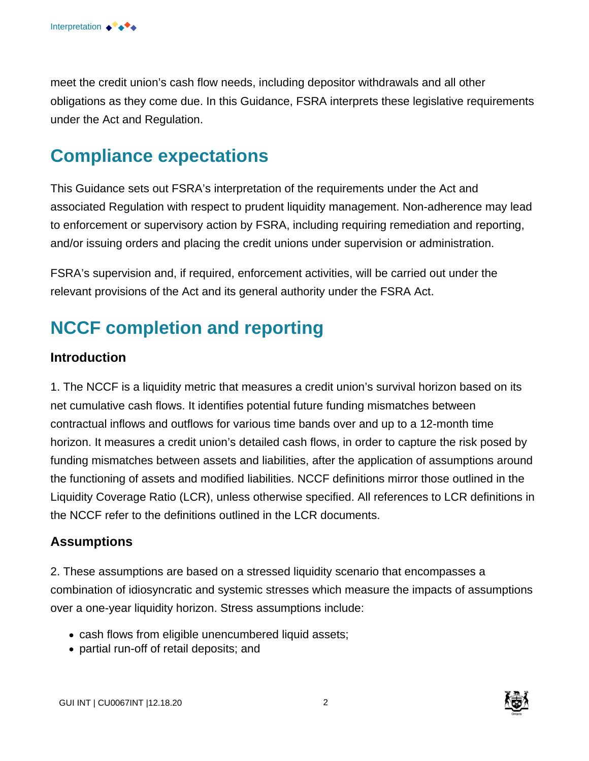meet the credit union's cash flow needs, including depositor withdrawals and all other obligations as they come due. In this Guidance, FSRA interprets these legislative requirements under the Act and Regulation.

# **Compliance expectations**

This Guidance sets out FSRA's interpretation of the requirements under the Act and associated Regulation with respect to prudent liquidity management. Non-adherence may lead to enforcement or supervisory action by FSRA, including requiring remediation and reporting, and/or issuing orders and placing the credit unions under supervision or administration.

FSRA's supervision and, if required, enforcement activities, will be carried out under the relevant provisions of the Act and its general authority under the FSRA Act.

# **NCCF completion and reporting**

#### **Introduction**

1. The NCCF is a liquidity metric that measures a credit union's survival horizon based on its net cumulative cash flows. It identifies potential future funding mismatches between contractual inflows and outflows for various time bands over and up to a 12-month time horizon. It measures a credit union's detailed cash flows, in order to capture the risk posed by funding mismatches between assets and liabilities, after the application of assumptions around the functioning of assets and modified liabilities. NCCF definitions mirror those outlined in the Liquidity Coverage Ratio (LCR), unless otherwise specified. All references to LCR definitions in the NCCF refer to the definitions outlined in the LCR documents.

#### **Assumptions**

2. These assumptions are based on a stressed liquidity scenario that encompasses a combination of idiosyncratic and systemic stresses which measure the impacts of assumptions over a one-year liquidity horizon. Stress assumptions include:

- cash flows from eligible unencumbered liquid assets;
- partial run-off of retail deposits; and

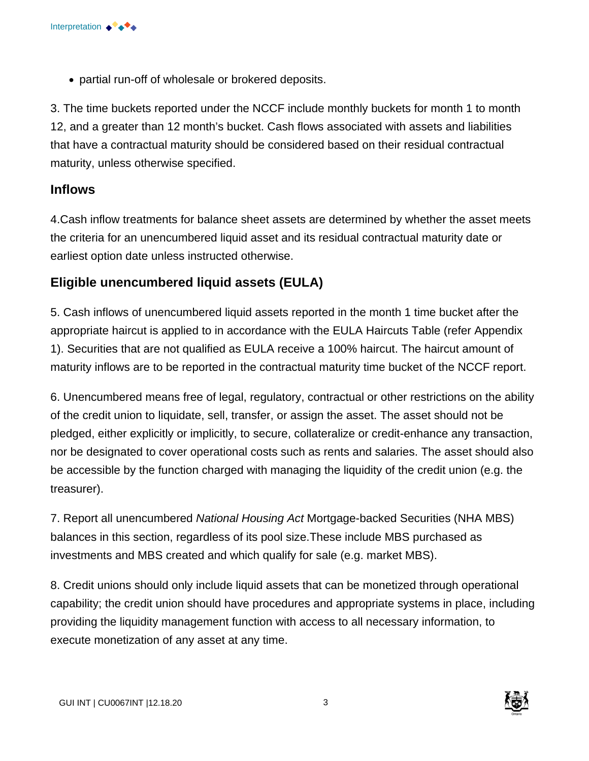partial run-off of wholesale or brokered deposits.

3. The time buckets reported under the NCCF include monthly buckets for month 1 to month 12, and a greater than 12 month's bucket. Cash flows associated with assets and liabilities that have a contractual maturity should be considered based on their residual contractual maturity, unless otherwise specified.

#### **Inflows**

4.Cash inflow treatments for balance sheet assets are determined by whether the asset meets the criteria for an unencumbered liquid asset and its residual contractual maturity date or earliest option date unless instructed otherwise.

# **Eligible unencumbered liquid assets (EULA)**

5. Cash inflows of unencumbered liquid assets reported in the month 1 time bucket after the appropriate haircut is applied to in accordance with the EULA Haircuts Table (refer Appendix 1). Securities that are not qualified as EULA receive a 100% haircut. The haircut amount of maturity inflows are to be reported in the contractual maturity time bucket of the NCCF report.

6. Unencumbered means free of legal, regulatory, contractual or other restrictions on the ability of the credit union to liquidate, sell, transfer, or assign the asset. The asset should not be pledged, either explicitly or implicitly, to secure, collateralize or credit-enhance any transaction, nor be designated to cover operational costs such as rents and salaries. The asset should also be accessible by the function charged with managing the liquidity of the credit union (e.g. the treasurer).

7. Report all unencumbered National Housing Act Mortgage-backed Securities (NHA MBS) balances in this section, regardless of its pool size. These include MBS purchased as investments and MBS created and which qualify for sale (e.g. market MBS).

8. Credit unions should only include liquid assets that can be monetized through operational capability; the credit union should have procedures and appropriate systems in place, including providing the liquidity management function with access to all necessary information, to execute monetization of any asset at any time.

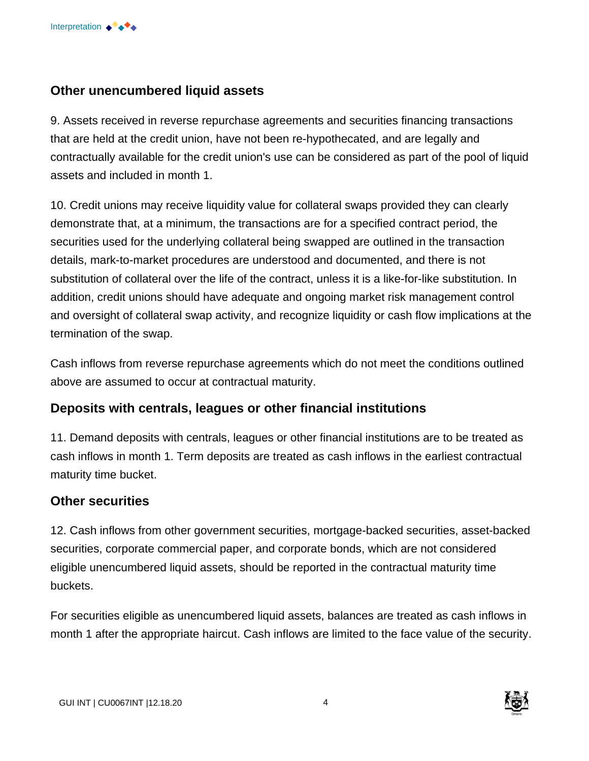

#### **Other unencumbered liquid assets**

9. Assets received in reverse repurchase agreements and securities financing transactions that are held at the credit union, have not been re-hypothecated, and are legally and contractually available for the credit union's use can be considered as part of the pool of liquid assets and included in month 1.

10. Credit unions may receive liquidity value for collateral swaps provided they can clearly demonstrate that, at a minimum, the transactions are for a specified contract period, the securities used for the underlying collateral being swapped are outlined in the transaction details, mark-to-market procedures are understood and documented, and there is not substitution of collateral over the life of the contract, unless it is a like-for-like substitution. In addition, credit unions should have adequate and ongoing market risk management control and oversight of collateral swap activity, and recognize liquidity or cash flow implications at the termination of the swap.

Cash inflows from reverse repurchase agreements which do not meet the conditions outlined above are assumed to occur at contractual maturity.

#### **Deposits with centrals, leagues or other financial institutions**

11. Demand deposits with centrals, leagues or other financial institutions are to be treated as cash inflows in month 1. Term deposits are treated as cash inflows in the earliest contractual maturity time bucket.

#### **Other securities**

12. Cash inflows from other government securities, mortgage-backed securities, asset-backed securities, corporate commercial paper, and corporate bonds, which are not considered eligible unencumbered liquid assets, should be reported in the contractual maturity time buckets.

For securities eligible as unencumbered liquid assets, balances are treated as cash inflows in month 1 after the appropriate haircut. Cash inflows are limited to the face value of the security.

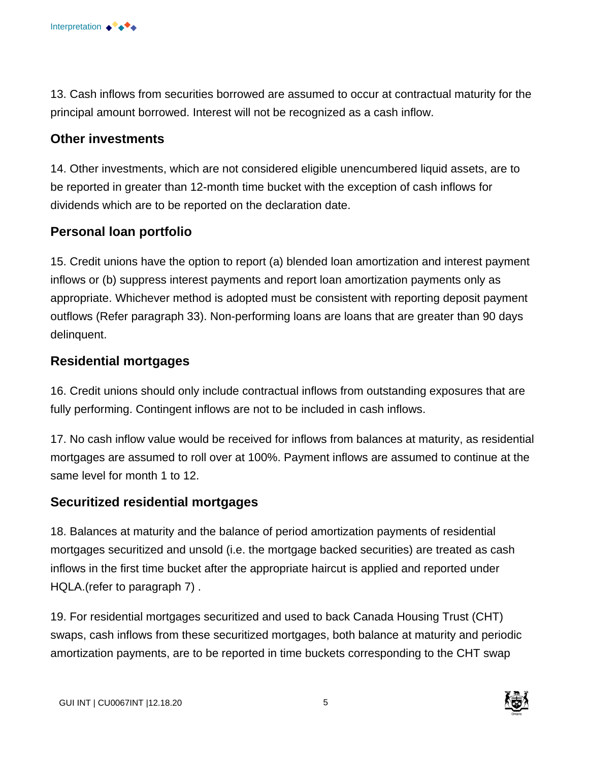

13. Cash inflows from securities borrowed are assumed to occur at contractual maturity for the principal amount borrowed. Interest will not be recognized as a cash inflow.

#### **Other investments**

14. Other investments, which are not considered eligible unencumbered liquid assets, are to be reported in greater than 12-month time bucket with the exception of cash inflows for dividends which are to be reported on the declaration date.

### **Personal loan portfolio**

15. Credit unions have the option to report (a) blended loan amortization and interest payment inflows or (b) suppress interest payments and report loan amortization payments only as appropriate. Whichever method is adopted must be consistent with reporting deposit payment outflows (Refer paragraph 33). Non-performing loans are loans that are greater than 90 days delinquent.

#### **Residential mortgages**

16. Credit unions should only include contractual inflows from outstanding exposures that are fully performing. Contingent inflows are not to be included in cash inflows.

17. No cash inflow value would be received for inflows from balances at maturity, as residential mortgages are assumed to roll over at 100%. Payment inflows are assumed to continue at the same level for month 1 to 12.

#### **Securitized residential mortgages**

18. Balances at maturity and the balance of period amortization payments of residential mortgages securitized and unsold (i.e. the mortgage backed securities) are treated as cash inflows in the first time bucket after the appropriate haircut is applied and reported under HQLA.(refer to paragraph 7) .

19. For residential mortgages securitized and used to back Canada Housing Trust (CHT) swaps, cash inflows from these securitized mortgages, both balance at maturity and periodic amortization payments, are to be reported in time buckets corresponding to the CHT swap

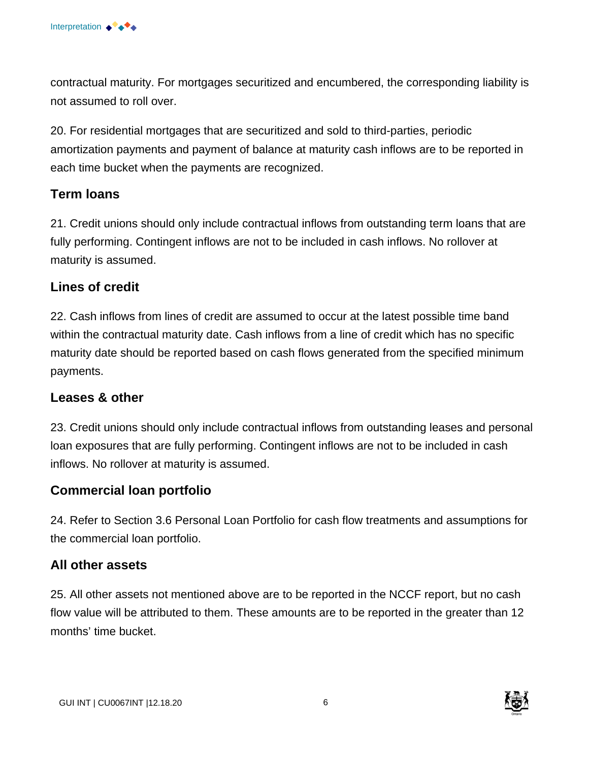contractual maturity. For mortgages securitized and encumbered, the corresponding liability is not assumed to roll over.

20. For residential mortgages that are securitized and sold to third-parties, periodic amortization payments and payment of balance at maturity cash inflows are to be reported in each time bucket when the payments are recognized.

#### **Term loans**

21. Credit unions should only include contractual inflows from outstanding term loans that are fully performing. Contingent inflows are not to be included in cash inflows. No rollover at maturity is assumed.

#### **Lines of credit**

22. Cash inflows from lines of credit are assumed to occur at the latest possible time band within the contractual maturity date. Cash inflows from a line of credit which has no specific maturity date should be reported based on cash flows generated from the specified minimum payments.

#### **Leases & other**

23. Credit unions should only include contractual inflows from outstanding leases and personal loan exposures that are fully performing. Contingent inflows are not to be included in cash inflows. No rollover at maturity is assumed.

#### **Commercial loan portfolio**

24. Refer to Section 3.6 Personal Loan Portfolio for cash flow treatments and assumptions for the commercial loan portfolio.

#### **All other assets**

25. All other assets not mentioned above are to be reported in the NCCF report, but no cash flow value will be attributed to them. These amounts are to be reported in the greater than 12 months' time bucket.

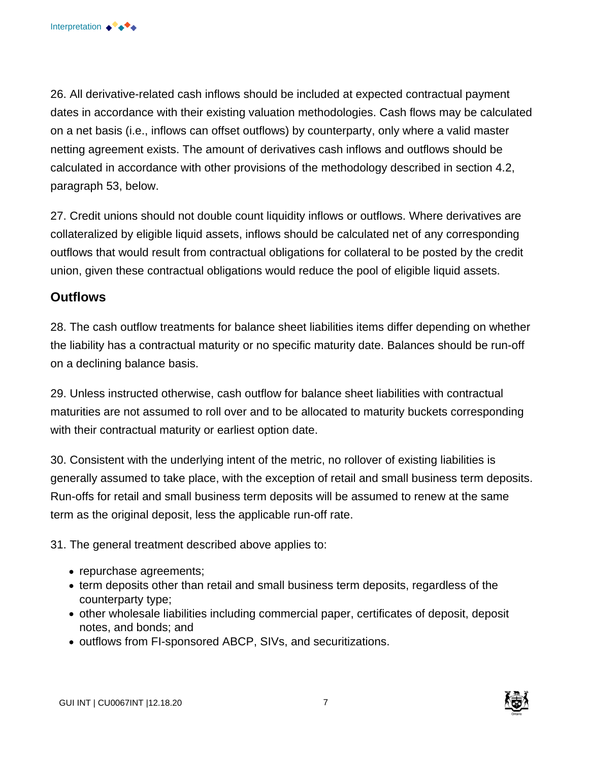26. All derivative-related cash inflows should be included at expected contractual payment dates in accordance with their existing valuation methodologies. Cash flows may be calculated on a net basis (i.e., inflows can offset outflows) by counterparty, only where a valid master netting agreement exists. The amount of derivatives cash inflows and outflows should be calculated in accordance with other provisions of the methodology described in section 4.2, paragraph 53, below.

27. Credit unions should not double count liquidity inflows or outflows. Where derivatives are collateralized by eligible liquid assets, inflows should be calculated net of any corresponding outflows that would result from contractual obligations for collateral to be posted by the credit union, given these contractual obligations would reduce the pool of eligible liquid assets.

#### **Outflows**

28. The cash outflow treatments for balance sheet liabilities items differ depending on whether the liability has a contractual maturity or no specific maturity date. Balances should be run-off on a declining balance basis.

29. Unless instructed otherwise, cash outflow for balance sheet liabilities with contractual maturities are not assumed to roll over and to be allocated to maturity buckets corresponding with their contractual maturity or earliest option date.

30. Consistent with the underlying intent of the metric, no rollover of existing liabilities is generally assumed to take place, with the exception of retail and small business term deposits. Run-offs for retail and small business term deposits will be assumed to renew at the same term as the original deposit, less the applicable run-off rate.

31. The general treatment described above applies to:

- repurchase agreements;
- term deposits other than retail and small business term deposits, regardless of the counterparty type;
- other wholesale liabilities including commercial paper, certificates of deposit, deposit notes, and bonds; and
- outflows from FI-sponsored ABCP, SIVs, and securitizations.

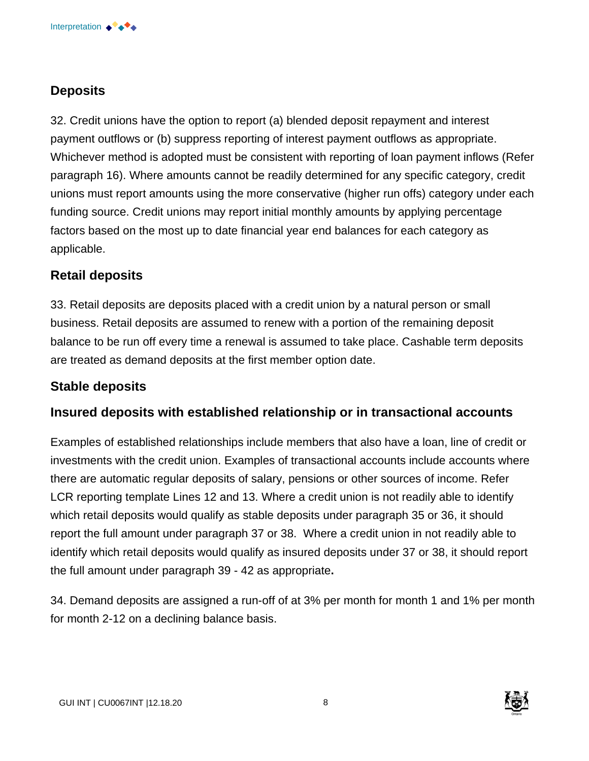# **Deposits**

32. Credit unions have the option to report (a) blended deposit repayment and interest payment outflows or (b) suppress reporting of interest payment outflows as appropriate. Whichever method is adopted must be consistent with reporting of loan payment inflows (Refer paragraph 16). Where amounts cannot be readily determined for any specific category, credit unions must report amounts using the more conservative (higher run offs) category under each funding source. Credit unions may report initial monthly amounts by applying percentage factors based on the most up to date financial year end balances for each category as applicable.

#### **Retail deposits**

33. Retail deposits are deposits placed with a credit union by a natural person or small business. Retail deposits are assumed to renew with a portion of the remaining deposit balance to be run off every time a renewal is assumed to take place. Cashable term deposits are treated as demand deposits at the first member option date.

#### **Stable deposits**

#### **Insured deposits with established relationship or in transactional accounts**

Examples of established relationships include members that also have a loan, line of credit or investments with the credit union. Examples of transactional accounts include accounts where there are automatic regular deposits of salary, pensions or other sources of income. Refer LCR reporting template Lines 12 and 13. Where a credit union is not readily able to identify which retail deposits would qualify as stable deposits under paragraph 35 or 36, it should report the full amount under paragraph 37 or 38. Where a credit union in not readily able to identify which retail deposits would qualify as insured deposits under 37 or 38, it should report the full amount under paragraph 39 - 42 as appropriate**.** 

34. Demand deposits are assigned a run-off of at 3% per month for month 1 and 1% per month for month 2-12 on a declining balance basis.

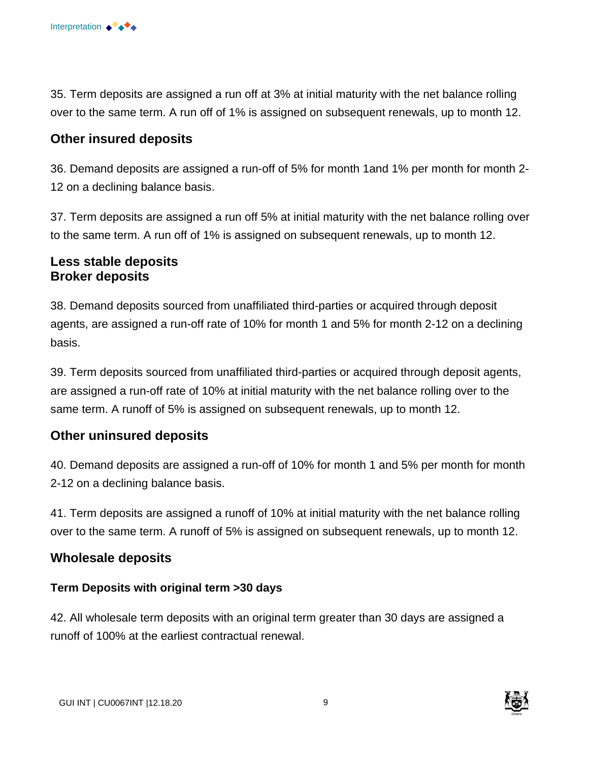35. Term deposits are assigned a run off at 3% at initial maturity with the net balance rolling over to the same term. A run off of 1% is assigned on subsequent renewals, up to month 12.

#### **Other insured deposits**

36. Demand deposits are assigned a run-off of 5% for month 1and 1% per month for month 2 12 on a declining balance basis.

37. Term deposits are assigned a run off 5% at initial maturity with the net balance rolling over to the same term. A run off of 1% is assigned on subsequent renewals, up to month 12.

#### **Less stable deposits Broker deposits**

38. Demand deposits sourced from unaffiliated third-parties or acquired through deposit agents, are assigned a run-off rate of 10% for month 1 and 5% for month 2-12 on a declining basis.

39. Term deposits sourced from unaffiliated third-parties or acquired through deposit agents, are assigned a run-off rate of 10% at initial maturity with the net balance rolling over to the same term. A runoff of 5% is assigned on subsequent renewals, up to month 12.

### **Other uninsured deposits**

40. Demand deposits are assigned a run-off of 10% for month 1 and 5% per month for month 2-12 on a declining balance basis.

41. Term deposits are assigned a runoff of 10% at initial maturity with the net balance rolling over to the same term. A runoff of 5% is assigned on subsequent renewals, up to month 12.

### **Wholesale deposits**

#### **Term Deposits with original term >30 days**

42. All wholesale term deposits with an original term greater than 30 days are assigned a runoff of 100% at the earliest contractual renewal.

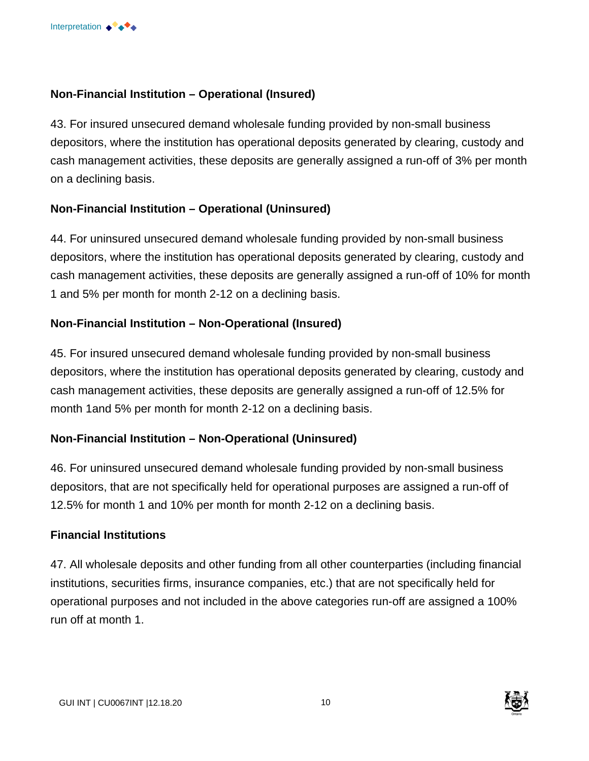#### **Non-Financial Institution – Operational (Insured)**

43. For insured unsecured demand wholesale funding provided by non-small business depositors, where the institution has operational deposits generated by clearing, custody and cash management activities, these deposits are generally assigned a run-off of 3% per month on a declining basis.

#### **Non-Financial Institution – Operational (Uninsured)**

44. For uninsured unsecured demand wholesale funding provided by non-small business depositors, where the institution has operational deposits generated by clearing, custody and cash management activities, these deposits are generally assigned a run-off of 10% for month 1 and 5% per month for month 2-12 on a declining basis.

#### **Non-Financial Institution – Non-Operational (Insured)**

45. For insured unsecured demand wholesale funding provided by non-small business depositors, where the institution has operational deposits generated by clearing, custody and cash management activities, these deposits are generally assigned a run-off of 12.5% for month 1and 5% per month for month 2-12 on a declining basis.

#### **Non-Financial Institution – Non-Operational (Uninsured)**

46. For uninsured unsecured demand wholesale funding provided by non-small business depositors, that are not specifically held for operational purposes are assigned a run-off of 12.5% for month 1 and 10% per month for month 2-12 on a declining basis.

#### **Financial Institutions**

47. All wholesale deposits and other funding from all other counterparties (including financial institutions, securities firms, insurance companies, etc.) that are not specifically held for operational purposes and not included in the above categories run-off are assigned a 100% run off at month 1.

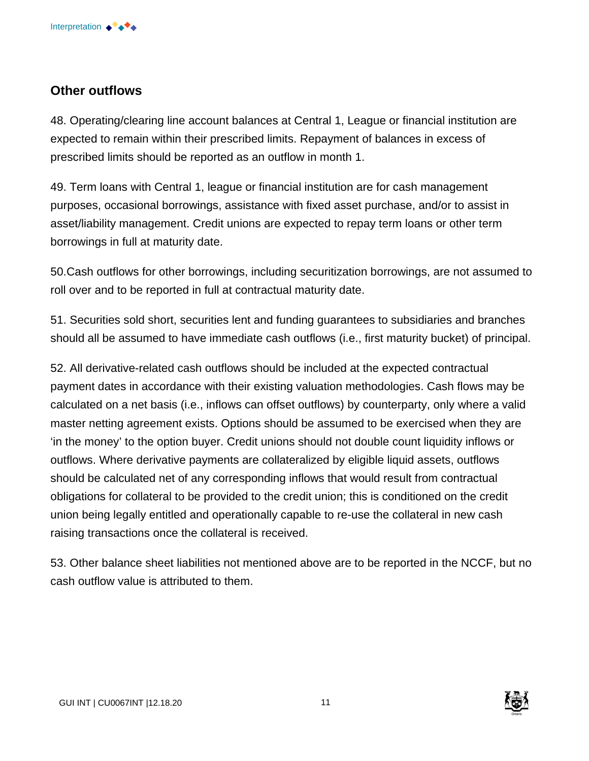#### **Other outflows**

48. Operating/clearing line account balances at Central 1, League or financial institution are expected to remain within their prescribed limits. Repayment of balances in excess of prescribed limits should be reported as an outflow in month 1.

49. Term loans with Central 1, league or financial institution are for cash management purposes, occasional borrowings, assistance with fixed asset purchase, and/or to assist in asset/liability management. Credit unions are expected to repay term loans or other term borrowings in full at maturity date.

50.Cash outflows for other borrowings, including securitization borrowings, are not assumed to roll over and to be reported in full at contractual maturity date.

51. Securities sold short, securities lent and funding guarantees to subsidiaries and branches should all be assumed to have immediate cash outflows (i.e., first maturity bucket) of principal.

52. All derivative-related cash outflows should be included at the expected contractual payment dates in accordance with their existing valuation methodologies. Cash flows may be calculated on a net basis (i.e., inflows can offset outflows) by counterparty, only where a valid master netting agreement exists. Options should be assumed to be exercised when they are 'in the money' to the option buyer. Credit unions should not double count liquidity inflows or outflows. Where derivative payments are collateralized by eligible liquid assets, outflows should be calculated net of any corresponding inflows that would result from contractual obligations for collateral to be provided to the credit union; this is conditioned on the credit union being legally entitled and operationally capable to re-use the collateral in new cash raising transactions once the collateral is received.

53. Other balance sheet liabilities not mentioned above are to be reported in the NCCF, but no cash outflow value is attributed to them.

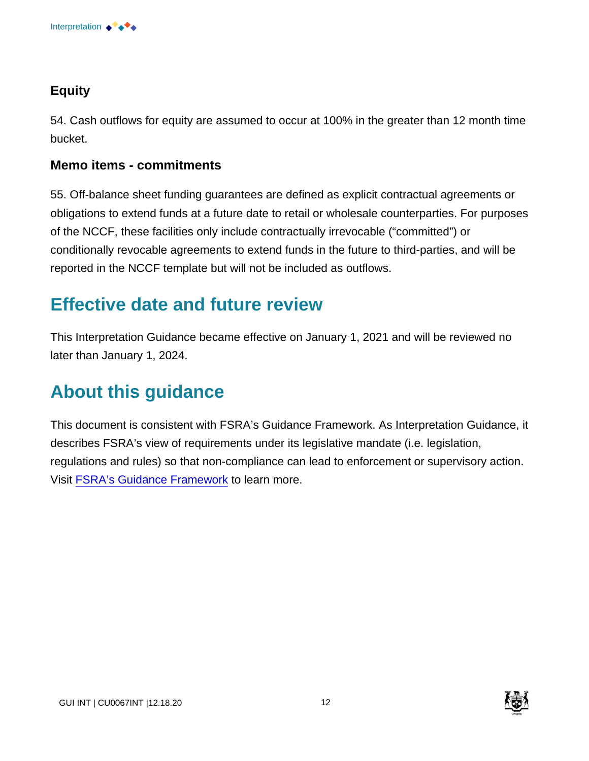

# **Equity**

54. Cash outflows for equity are assumed to occur at 100% in the greater than 12 month time bucket.

#### **Memo items - commitments**

55. Off-balance sheet funding guarantees are defined as explicit contractual agreements or obligations to extend funds at a future date to retail or wholesale counterparties. For purposes of the NCCF, these facilities only include contractually irrevocable ("committed") or conditionally revocable agreements to extend funds in the future to third-parties, and will be reported in the NCCF template but will not be included as outflows.

# **Effective date and future review**

This Interpretation Guidance became effective on January 1, 2021 and will be reviewed no later than January 1, 2024.

# **About this guidance**

This document is consistent with FSRA's Guidance Framework. As Interpretation Guidance, it describes FSRA's view of requirements under its legislative mandate (i.e. legislation, regulations and rules) so that non-compliance can lead to enforcement or supervisory action. Visit [FSRA's Guidance Framework](https://www.fsrao.ca/regulation/guidance/fsra-guidance-framework) to learn more.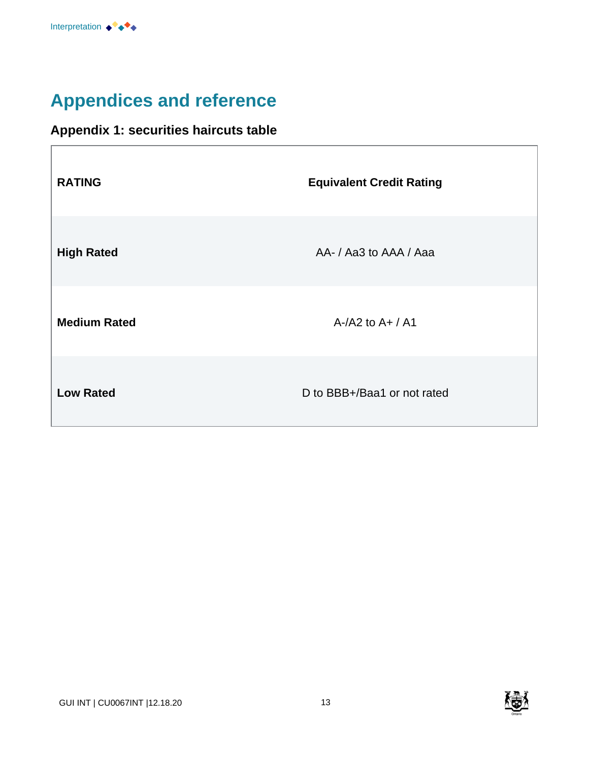# **Appendices and reference**

# **Appendix 1: securities haircuts table**

| <b>RATING</b>       | <b>Equivalent Credit Rating</b> |
|---------------------|---------------------------------|
| <b>High Rated</b>   | AA- / Aa3 to AAA / Aaa          |
| <b>Medium Rated</b> | $A$ -/A2 to $A+$ / A1           |
| <b>Low Rated</b>    | D to BBB+/Baa1 or not rated     |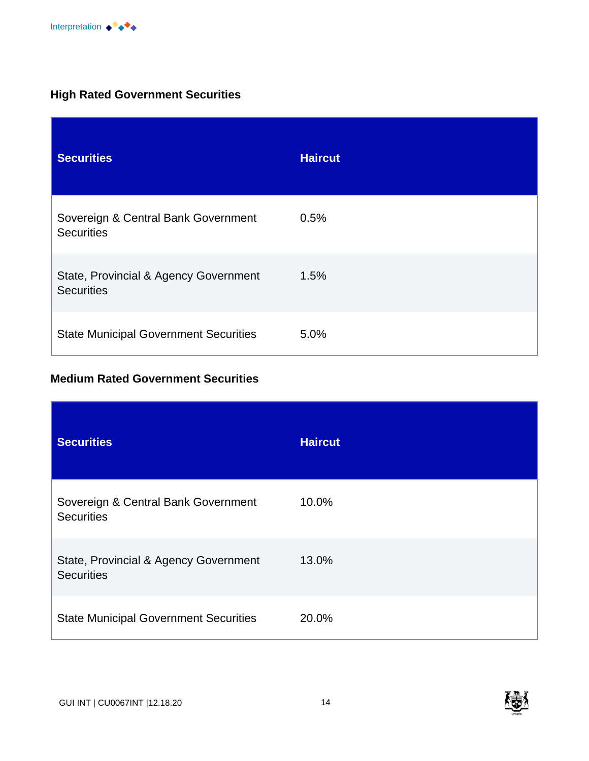

# **High Rated Government Securities**

| <b>Securities</b>                                          | <b>Haircut</b> |
|------------------------------------------------------------|----------------|
| Sovereign & Central Bank Government<br><b>Securities</b>   | 0.5%           |
| State, Provincial & Agency Government<br><b>Securities</b> | 1.5%           |
| <b>State Municipal Government Securities</b>               | 5.0%           |

### **Medium Rated Government Securities**

| <b>Securities</b>                                          | <b>Haircut</b> |
|------------------------------------------------------------|----------------|
| Sovereign & Central Bank Government<br><b>Securities</b>   | 10.0%          |
| State, Provincial & Agency Government<br><b>Securities</b> | 13.0%          |
| <b>State Municipal Government Securities</b>               | 20.0%          |

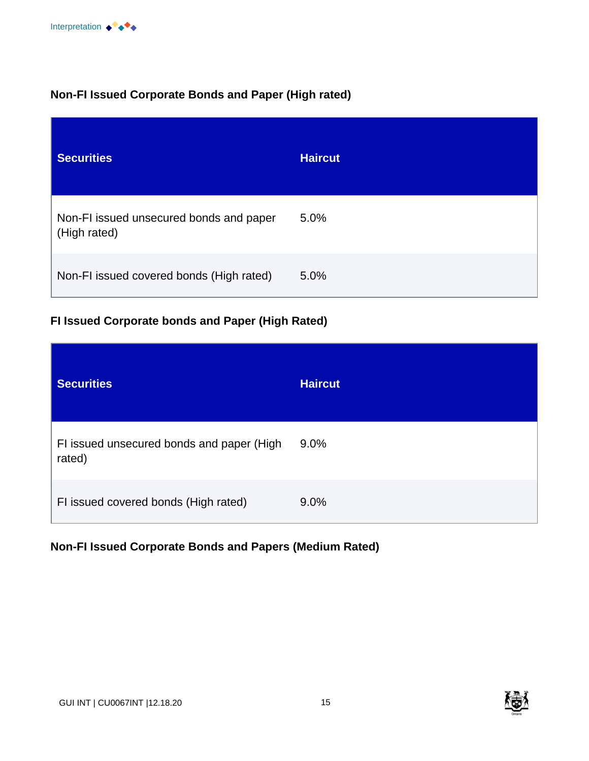

#### **Non-FI Issued Corporate Bonds and Paper (High rated)**

| <b>Securities</b>                                       | <b>Haircut</b> |
|---------------------------------------------------------|----------------|
| Non-FI issued unsecured bonds and paper<br>(High rated) | 5.0%           |
| Non-FI issued covered bonds (High rated)                | 5.0%           |

#### **FI Issued Corporate bonds and Paper (High Rated)**

| <b>Securities</b>                                   | <b>Haircut</b> |
|-----------------------------------------------------|----------------|
| FI issued unsecured bonds and paper (High<br>rated) | 9.0%           |
| FI issued covered bonds (High rated)                | 9.0%           |

# **Non-FI Issued Corporate Bonds and Papers (Medium Rated)**

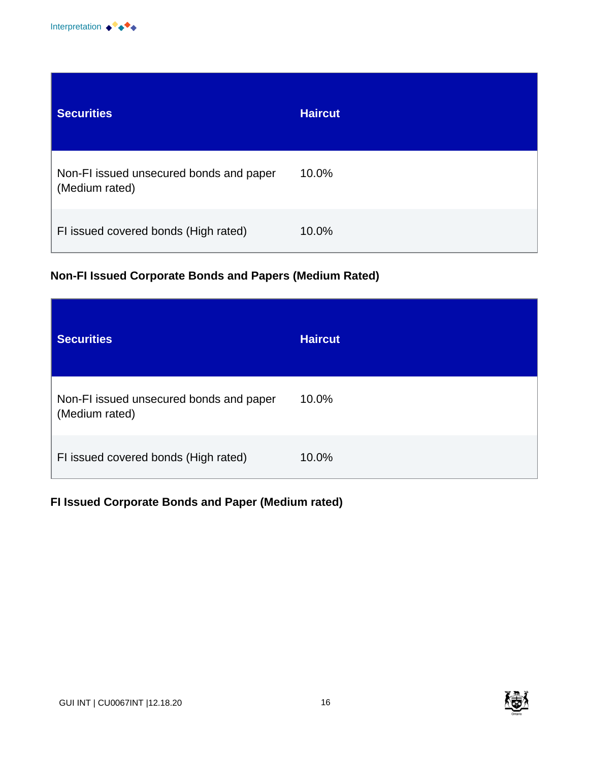

| <b>Securities</b>                                         | <b>Haircut</b> |
|-----------------------------------------------------------|----------------|
| Non-FI issued unsecured bonds and paper<br>(Medium rated) | 10.0%          |
| FI issued covered bonds (High rated)                      | 10.0%          |

# **Non-FI Issued Corporate Bonds and Papers (Medium Rated)**

| <b>Securities</b>                                         | <b>Haircut</b> |
|-----------------------------------------------------------|----------------|
| Non-FI issued unsecured bonds and paper<br>(Medium rated) | 10.0%          |
| FI issued covered bonds (High rated)                      | 10.0%          |

# **FI Issued Corporate Bonds and Paper (Medium rated)**

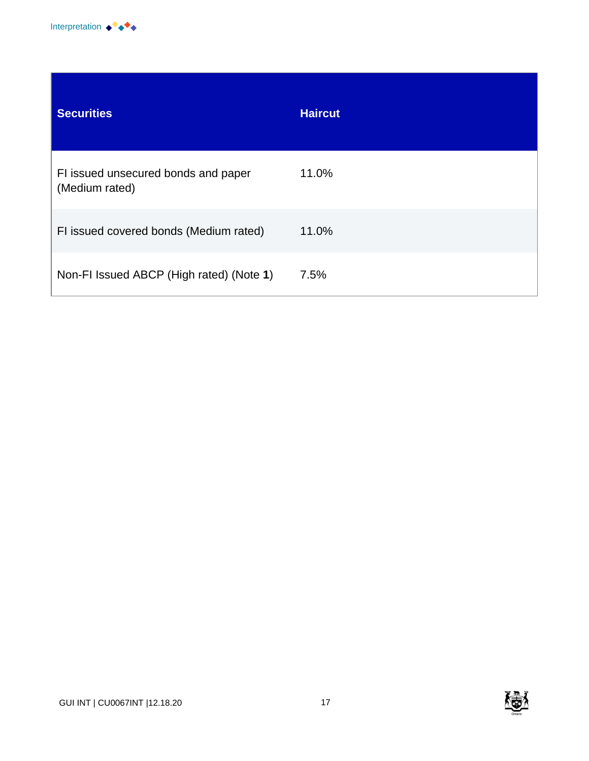

| <b>Securities</b>                                     | <b>Haircut</b> |
|-------------------------------------------------------|----------------|
| FI issued unsecured bonds and paper<br>(Medium rated) | 11.0%          |
| FI issued covered bonds (Medium rated)                | 11.0%          |
| Non-FI Issued ABCP (High rated) (Note 1)              | 7.5%           |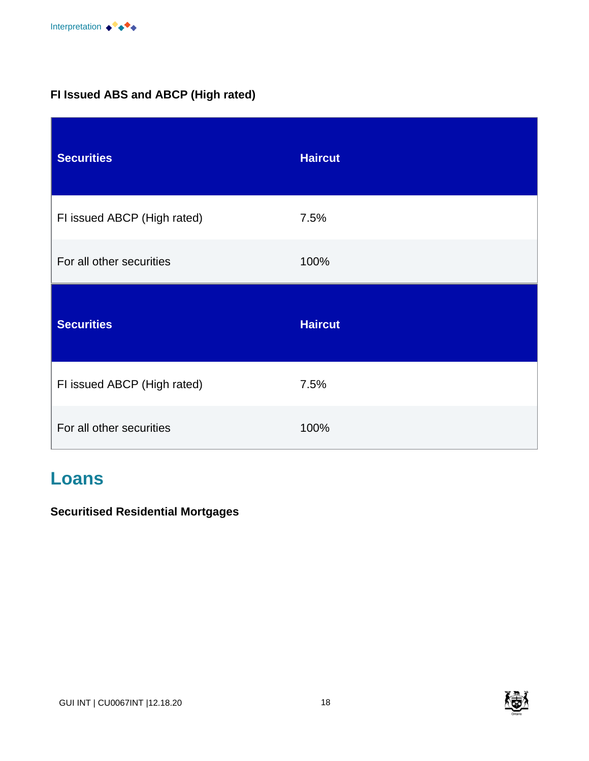# **FI Issued ABS and ABCP (High rated)**

| <b>Securities</b>           | <b>Haircut</b> |
|-----------------------------|----------------|
| FI issued ABCP (High rated) | 7.5%           |
| For all other securities    | 100%           |
|                             |                |
| <b>Securities</b>           | <b>Haircut</b> |
| FI issued ABCP (High rated) | 7.5%           |

# **Loans**

#### **Securitised Residential Mortgages**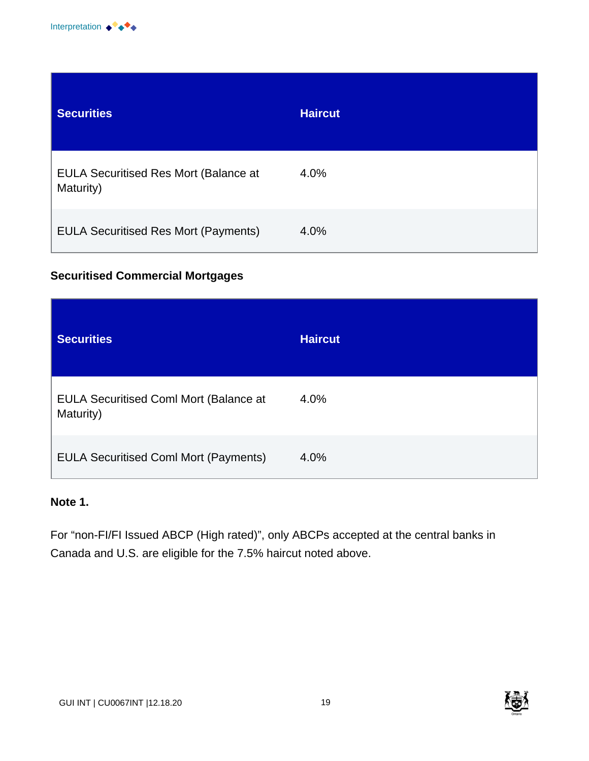

| <b>Securities</b>                                         | <b>Haircut</b> |
|-----------------------------------------------------------|----------------|
| <b>EULA Securitised Res Mort (Balance at</b><br>Maturity) | 4.0%           |
| <b>EULA Securitised Res Mort (Payments)</b>               | 4.0%           |

#### **Securitised Commercial Mortgages**

| <b>Securities</b>                                          | <b>Haircut</b> |
|------------------------------------------------------------|----------------|
| <b>EULA Securitised Coml Mort (Balance at</b><br>Maturity) | 4.0%           |
| <b>EULA Securitised Coml Mort (Payments)</b>               | 4.0%           |

#### **Note 1.**

For "non-FI/FI Issued ABCP (High rated)", only ABCPs accepted at the central banks in Canada and U.S. are eligible for the 7.5% haircut noted above.



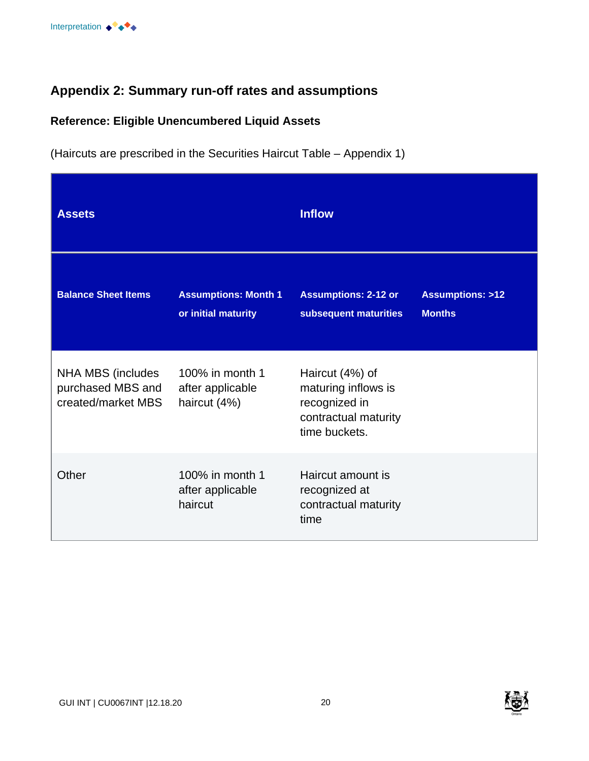# **Appendix 2: Summary run-off rates and assumptions**

#### **Reference: Eligible Unencumbered Liquid Assets**

(Haircuts are prescribed in the Securities Haircut Table – Appendix 1)

| <b>Assets</b>                                                |                                                     | <b>Inflow</b>                                                                                    |                                             |
|--------------------------------------------------------------|-----------------------------------------------------|--------------------------------------------------------------------------------------------------|---------------------------------------------|
| <b>Balance Sheet Items</b>                                   | <b>Assumptions: Month 1</b><br>or initial maturity  | <b>Assumptions: 2-12 or</b><br>subsequent maturities                                             | <b>Assumptions: &gt;12</b><br><b>Months</b> |
| NHA MBS (includes<br>purchased MBS and<br>created/market MBS | 100% in month 1<br>after applicable<br>haircut (4%) | Haircut (4%) of<br>maturing inflows is<br>recognized in<br>contractual maturity<br>time buckets. |                                             |
| Other                                                        | 100% in month 1<br>after applicable<br>haircut      | Haircut amount is<br>recognized at<br>contractual maturity<br>time                               |                                             |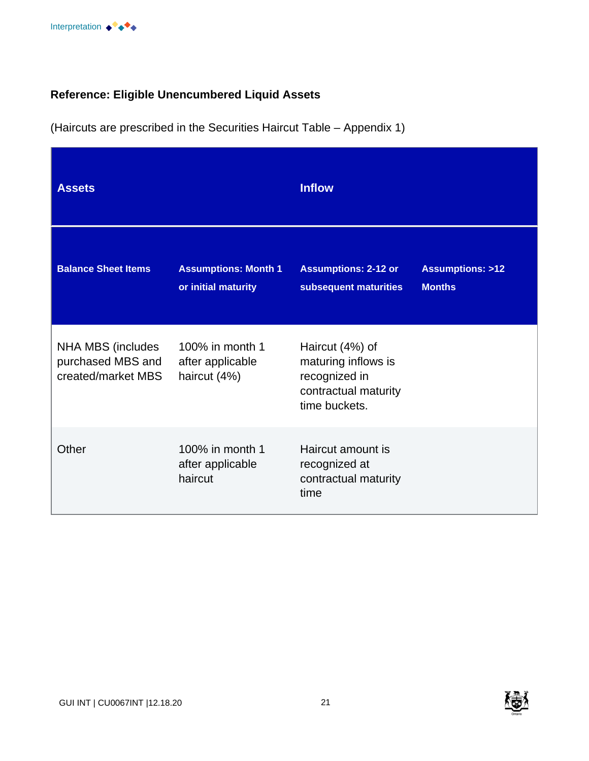

# **Reference: Eligible Unencumbered Liquid Assets**

(Haircuts are prescribed in the Securities Haircut Table – Appendix 1)

| <b>Assets</b>                                                |                                                     | <b>Inflow</b>                                                                                    |                                             |
|--------------------------------------------------------------|-----------------------------------------------------|--------------------------------------------------------------------------------------------------|---------------------------------------------|
| <b>Balance Sheet Items</b>                                   | <b>Assumptions: Month 1</b><br>or initial maturity  | <b>Assumptions: 2-12 or</b><br>subsequent maturities                                             | <b>Assumptions: &gt;12</b><br><b>Months</b> |
| NHA MBS (includes<br>purchased MBS and<br>created/market MBS | 100% in month 1<br>after applicable<br>haircut (4%) | Haircut (4%) of<br>maturing inflows is<br>recognized in<br>contractual maturity<br>time buckets. |                                             |
| Other                                                        | 100% in month 1<br>after applicable<br>haircut      | Haircut amount is<br>recognized at<br>contractual maturity<br>time                               |                                             |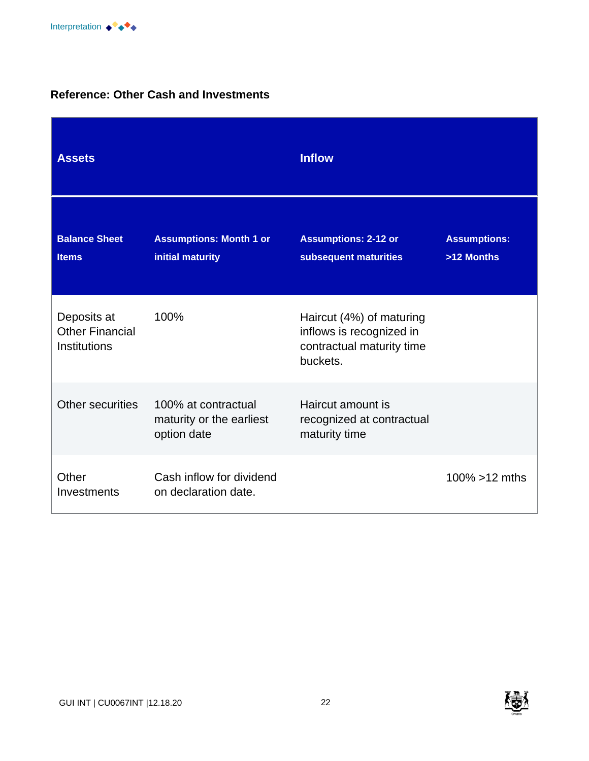#### **Reference: Other Cash and Investments**

| <b>Assets</b>                                         |                                                                | <b>Inflow</b>                                                                                 |                                   |
|-------------------------------------------------------|----------------------------------------------------------------|-----------------------------------------------------------------------------------------------|-----------------------------------|
| <b>Balance Sheet</b><br><b>Items</b>                  | <b>Assumptions: Month 1 or</b><br>initial maturity             | <b>Assumptions: 2-12 or</b><br>subsequent maturities                                          | <b>Assumptions:</b><br>>12 Months |
| Deposits at<br><b>Other Financial</b><br>Institutions | 100%                                                           | Haircut (4%) of maturing<br>inflows is recognized in<br>contractual maturity time<br>buckets. |                                   |
| Other securities                                      | 100% at contractual<br>maturity or the earliest<br>option date | Haircut amount is<br>recognized at contractual<br>maturity time                               |                                   |
| Other<br>Investments                                  | Cash inflow for dividend<br>on declaration date.               |                                                                                               | 100% $>12$ mths                   |

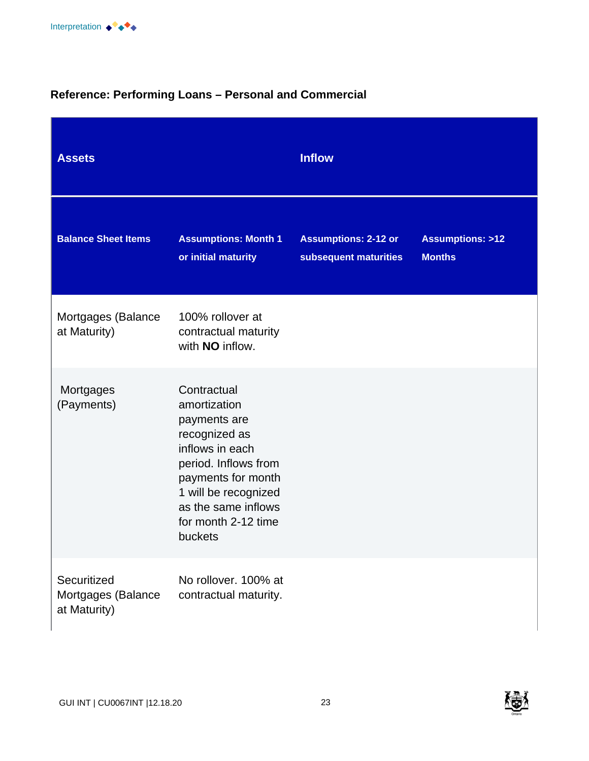# **Reference: Performing Loans – Personal and Commercial**

| <b>Assets</b>                                     |                                                                                                                                                                                                                | <b>Inflow</b>                                        |                                             |
|---------------------------------------------------|----------------------------------------------------------------------------------------------------------------------------------------------------------------------------------------------------------------|------------------------------------------------------|---------------------------------------------|
| <b>Balance Sheet Items</b>                        | <b>Assumptions: Month 1</b><br>or initial maturity                                                                                                                                                             | <b>Assumptions: 2-12 or</b><br>subsequent maturities | <b>Assumptions: &gt;12</b><br><b>Months</b> |
| Mortgages (Balance<br>at Maturity)                | 100% rollover at<br>contractual maturity<br>with <b>NO</b> inflow.                                                                                                                                             |                                                      |                                             |
| Mortgages<br>(Payments)                           | Contractual<br>amortization<br>payments are<br>recognized as<br>inflows in each<br>period. Inflows from<br>payments for month<br>1 will be recognized<br>as the same inflows<br>for month 2-12 time<br>buckets |                                                      |                                             |
| Securitized<br>Mortgages (Balance<br>at Maturity) | No rollover, 100% at<br>contractual maturity.                                                                                                                                                                  |                                                      |                                             |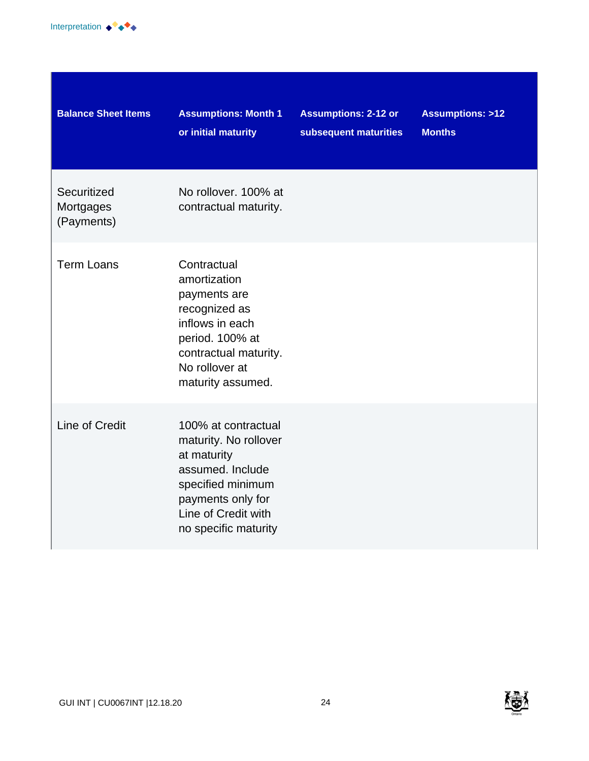

| <b>Balance Sheet Items</b>             | <b>Assumptions: Month 1</b><br>or initial maturity                                                                                                                       | <b>Assumptions: 2-12 or</b><br>subsequent maturities | <b>Assumptions: &gt;12</b><br><b>Months</b> |
|----------------------------------------|--------------------------------------------------------------------------------------------------------------------------------------------------------------------------|------------------------------------------------------|---------------------------------------------|
| Securitized<br>Mortgages<br>(Payments) | No rollover, 100% at<br>contractual maturity.                                                                                                                            |                                                      |                                             |
| <b>Term Loans</b>                      | Contractual<br>amortization<br>payments are<br>recognized as<br>inflows in each<br>period. 100% at<br>contractual maturity.<br>No rollover at<br>maturity assumed.       |                                                      |                                             |
| Line of Credit                         | 100% at contractual<br>maturity. No rollover<br>at maturity<br>assumed. Include<br>specified minimum<br>payments only for<br>Line of Credit with<br>no specific maturity |                                                      |                                             |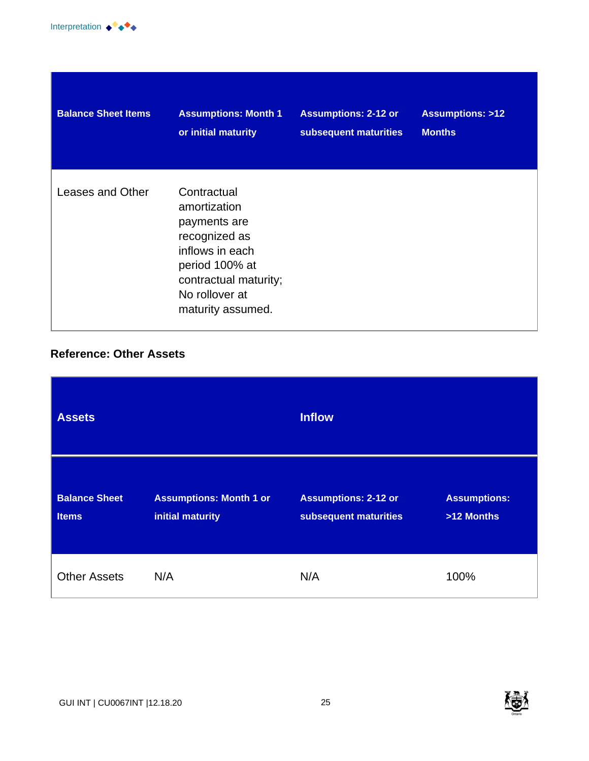

| <b>Balance Sheet Items</b> | <b>Assumptions: Month 1</b>                                                                                                                                       | <b>Assumptions: 2-12 or</b> | <b>Assumptions: &gt;12</b> |
|----------------------------|-------------------------------------------------------------------------------------------------------------------------------------------------------------------|-----------------------------|----------------------------|
|                            | or initial maturity                                                                                                                                               | subsequent maturities       | <b>Months</b>              |
| Leases and Other           | Contractual<br>amortization<br>payments are<br>recognized as<br>inflows in each<br>period 100% at<br>contractual maturity;<br>No rollover at<br>maturity assumed. |                             |                            |

#### **Reference: Other Assets**



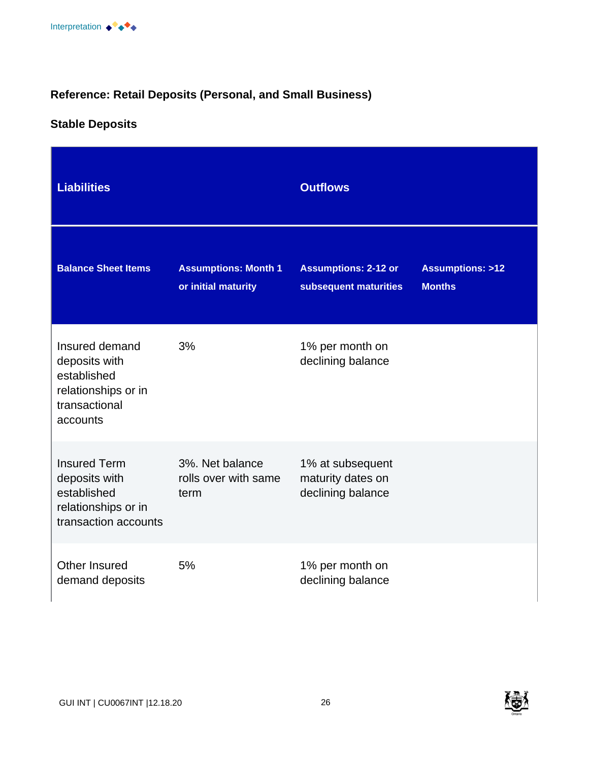# **Reference: Retail Deposits (Personal, and Small Business)**

# **Stable Deposits**

| <b>Liabilities</b>                                                                                 |                                                    | <b>Outflows</b>                                            |                                             |
|----------------------------------------------------------------------------------------------------|----------------------------------------------------|------------------------------------------------------------|---------------------------------------------|
| <b>Balance Sheet Items</b>                                                                         | <b>Assumptions: Month 1</b><br>or initial maturity | <b>Assumptions: 2-12 or</b><br>subsequent maturities       | <b>Assumptions: &gt;12</b><br><b>Months</b> |
| Insured demand<br>deposits with<br>established<br>relationships or in<br>transactional<br>accounts | 3%                                                 | 1% per month on<br>declining balance                       |                                             |
| <b>Insured Term</b><br>deposits with<br>established<br>relationships or in<br>transaction accounts | 3%. Net balance<br>rolls over with same<br>term    | 1% at subsequent<br>maturity dates on<br>declining balance |                                             |
| Other Insured<br>demand deposits                                                                   | 5%                                                 | 1% per month on<br>declining balance                       |                                             |

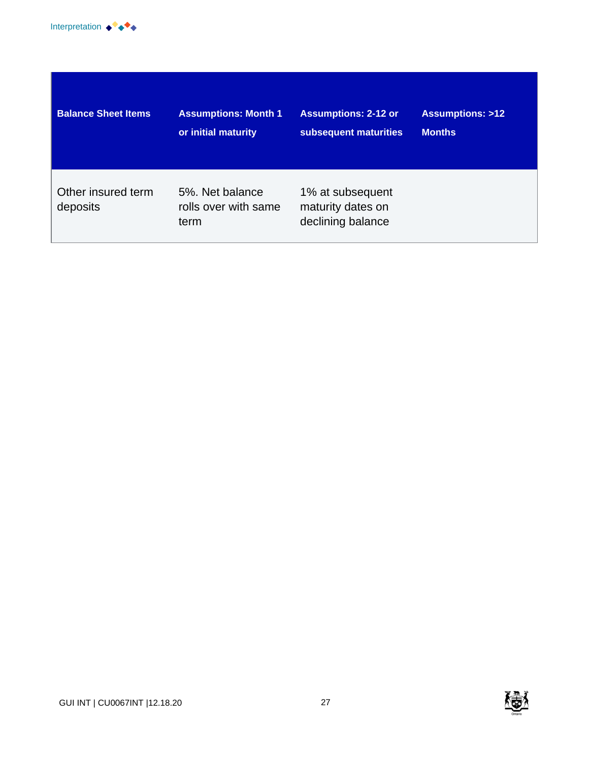

| <b>Balance Sheet Items</b>     | <b>Assumptions: Month 1</b>                     | <b>Assumptions: 2-12 or</b>                                | <b>Assumptions: &gt;12</b> |
|--------------------------------|-------------------------------------------------|------------------------------------------------------------|----------------------------|
|                                | or initial maturity                             | subsequent maturities                                      | <b>Months</b>              |
| Other insured term<br>deposits | 5%. Net balance<br>rolls over with same<br>term | 1% at subsequent<br>maturity dates on<br>declining balance |                            |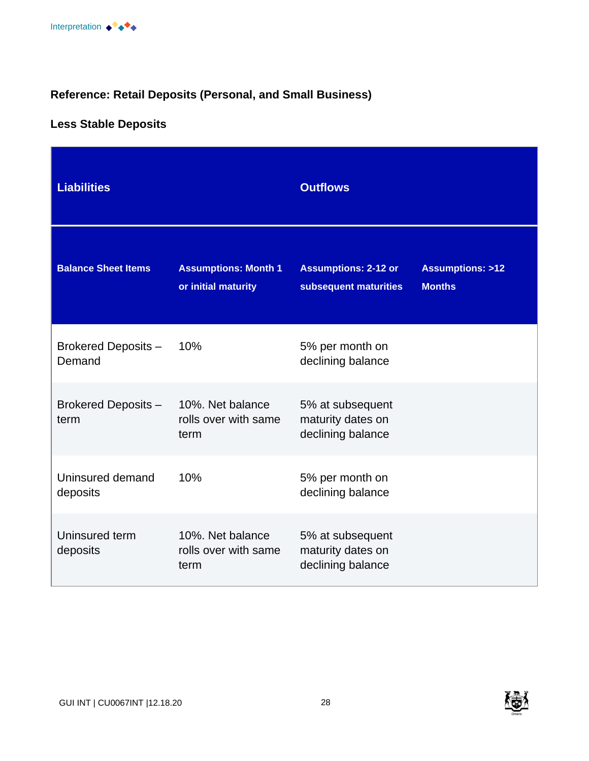# **Reference: Retail Deposits (Personal, and Small Business)**

# **Less Stable Deposits**

| <b>Liabilities</b>            |                                                    | <b>Outflows</b>                                            |                                             |
|-------------------------------|----------------------------------------------------|------------------------------------------------------------|---------------------------------------------|
| <b>Balance Sheet Items</b>    | <b>Assumptions: Month 1</b><br>or initial maturity | <b>Assumptions: 2-12 or</b><br>subsequent maturities       | <b>Assumptions: &gt;12</b><br><b>Months</b> |
| Brokered Deposits -<br>Demand | 10%                                                | 5% per month on<br>declining balance                       |                                             |
| Brokered Deposits -<br>term   | 10%. Net balance<br>rolls over with same<br>term   | 5% at subsequent<br>maturity dates on<br>declining balance |                                             |
| Uninsured demand<br>deposits  | 10%                                                | 5% per month on<br>declining balance                       |                                             |
| Uninsured term<br>deposits    | 10%. Net balance<br>rolls over with same<br>term   | 5% at subsequent<br>maturity dates on<br>declining balance |                                             |

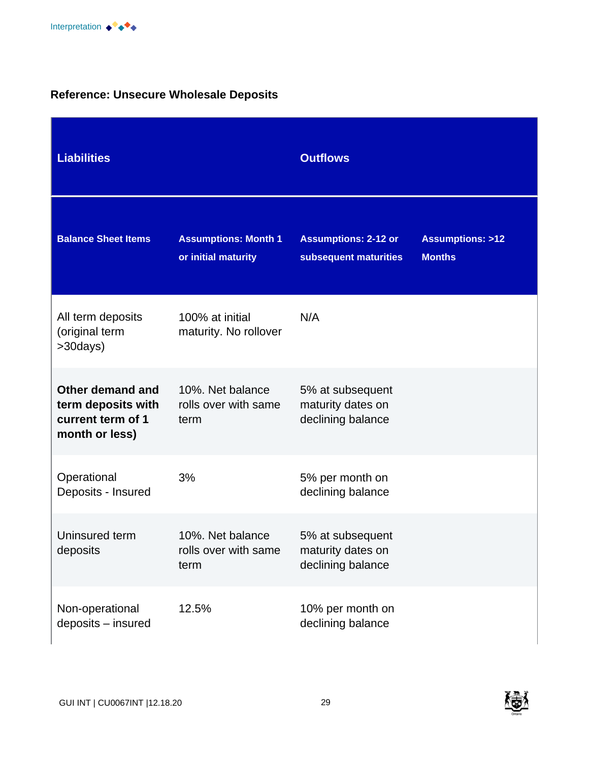# **Reference: Unsecure Wholesale Deposits**

| <b>Liabilities</b>                                                            |                                                    | <b>Outflows</b>                                            |                                             |
|-------------------------------------------------------------------------------|----------------------------------------------------|------------------------------------------------------------|---------------------------------------------|
| <b>Balance Sheet Items</b>                                                    | <b>Assumptions: Month 1</b><br>or initial maturity | <b>Assumptions: 2-12 or</b><br>subsequent maturities       | <b>Assumptions: &gt;12</b><br><b>Months</b> |
| All term deposits<br>(original term<br>>30days)                               | 100% at initial<br>maturity. No rollover           | N/A                                                        |                                             |
| Other demand and<br>term deposits with<br>current term of 1<br>month or less) | 10%. Net balance<br>rolls over with same<br>term   | 5% at subsequent<br>maturity dates on<br>declining balance |                                             |
| Operational<br>Deposits - Insured                                             | 3%                                                 | 5% per month on<br>declining balance                       |                                             |
| Uninsured term<br>deposits                                                    | 10%. Net balance<br>rolls over with same<br>term   | 5% at subsequent<br>maturity dates on<br>declining balance |                                             |
| Non-operational<br>deposits - insured                                         | 12.5%                                              | 10% per month on<br>declining balance                      |                                             |

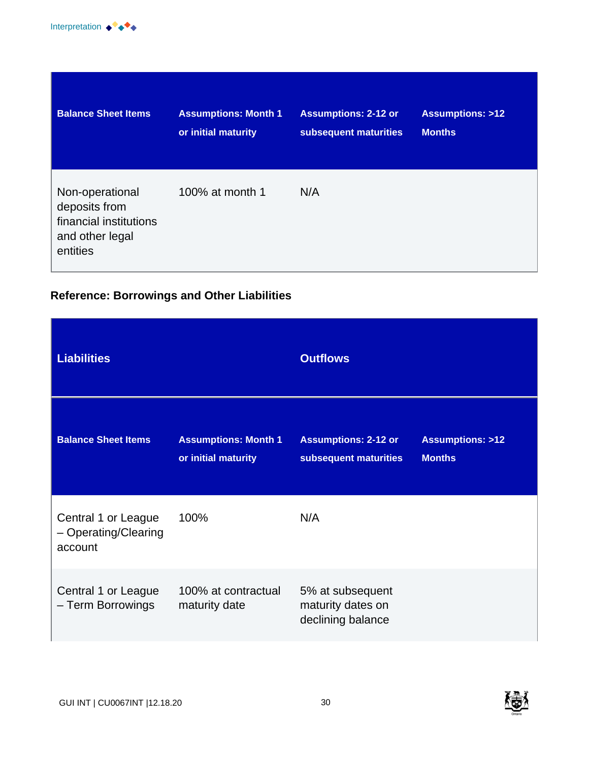

| <b>Balance Sheet Items</b>                                                                | <b>Assumptions: Month 1</b> | <b>Assumptions: 2-12 or</b> | <b>Assumptions: &gt;12</b> |
|-------------------------------------------------------------------------------------------|-----------------------------|-----------------------------|----------------------------|
|                                                                                           | or initial maturity         | subsequent maturities       | <b>Months</b>              |
| Non-operational<br>deposits from<br>financial institutions<br>and other legal<br>entities | 100% at month 1             | N/A                         |                            |

# **Reference: Borrowings and Other Liabilities**

| <b>Liabilities</b>                                     |                                                    | <b>Outflows</b>                                            |                                             |
|--------------------------------------------------------|----------------------------------------------------|------------------------------------------------------------|---------------------------------------------|
| <b>Balance Sheet Items</b>                             | <b>Assumptions: Month 1</b><br>or initial maturity | <b>Assumptions: 2-12 or</b><br>subsequent maturities       | <b>Assumptions: &gt;12</b><br><b>Months</b> |
| Central 1 or League<br>- Operating/Clearing<br>account | 100%                                               | N/A                                                        |                                             |
| Central 1 or League<br>- Term Borrowings               | 100% at contractual<br>maturity date               | 5% at subsequent<br>maturity dates on<br>declining balance |                                             |